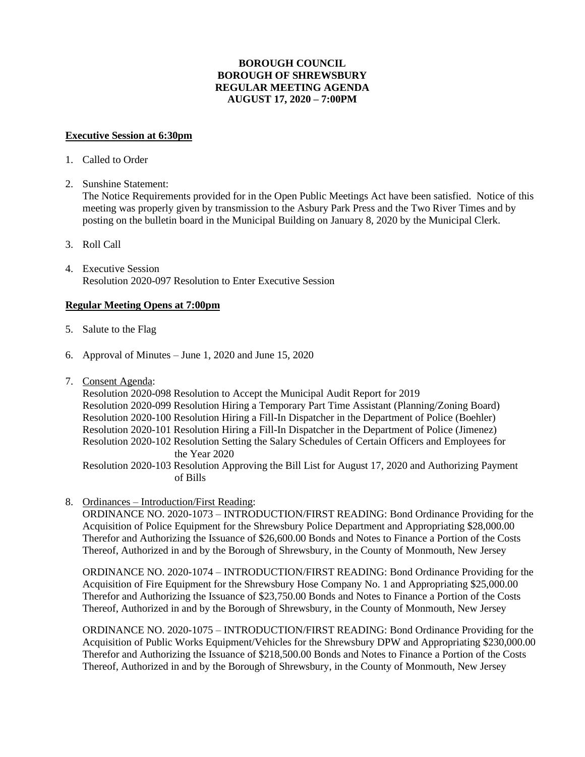# **BOROUGH COUNCIL BOROUGH OF SHREWSBURY REGULAR MEETING AGENDA AUGUST 17, 2020 – 7:00PM**

#### **Executive Session at 6:30pm**

- 1. Called to Order
- 2. Sunshine Statement:

The Notice Requirements provided for in the Open Public Meetings Act have been satisfied. Notice of this meeting was properly given by transmission to the Asbury Park Press and the Two River Times and by posting on the bulletin board in the Municipal Building on January 8, 2020 by the Municipal Clerk.

- 3. Roll Call
- 4. Executive Session Resolution 2020-097 Resolution to Enter Executive Session

# **Regular Meeting Opens at 7:00pm**

- 5. Salute to the Flag
- 6. Approval of Minutes June 1, 2020 and June 15, 2020
- 7. Consent Agenda:

Resolution 2020-098 Resolution to Accept the Municipal Audit Report for 2019 Resolution 2020-099 Resolution Hiring a Temporary Part Time Assistant (Planning/Zoning Board) Resolution 2020-100 Resolution Hiring a Fill-In Dispatcher in the Department of Police (Boehler) Resolution 2020-101 Resolution Hiring a Fill-In Dispatcher in the Department of Police (Jimenez) Resolution 2020-102 Resolution Setting the Salary Schedules of Certain Officers and Employees for the Year 2020

Resolution 2020-103 Resolution Approving the Bill List for August 17, 2020 and Authorizing Payment of Bills

8. Ordinances – Introduction/First Reading:

ORDINANCE NO. 2020-1073 – INTRODUCTION/FIRST READING: Bond Ordinance Providing for the Acquisition of Police Equipment for the Shrewsbury Police Department and Appropriating \$28,000.00 Therefor and Authorizing the Issuance of \$26,600.00 Bonds and Notes to Finance a Portion of the Costs Thereof, Authorized in and by the Borough of Shrewsbury, in the County of Monmouth, New Jersey

ORDINANCE NO. 2020-1074 – INTRODUCTION/FIRST READING: Bond Ordinance Providing for the Acquisition of Fire Equipment for the Shrewsbury Hose Company No. 1 and Appropriating \$25,000.00 Therefor and Authorizing the Issuance of \$23,750.00 Bonds and Notes to Finance a Portion of the Costs Thereof, Authorized in and by the Borough of Shrewsbury, in the County of Monmouth, New Jersey

ORDINANCE NO. 2020-1075 – INTRODUCTION/FIRST READING: Bond Ordinance Providing for the Acquisition of Public Works Equipment/Vehicles for the Shrewsbury DPW and Appropriating \$230,000.00 Therefor and Authorizing the Issuance of \$218,500.00 Bonds and Notes to Finance a Portion of the Costs Thereof, Authorized in and by the Borough of Shrewsbury, in the County of Monmouth, New Jersey